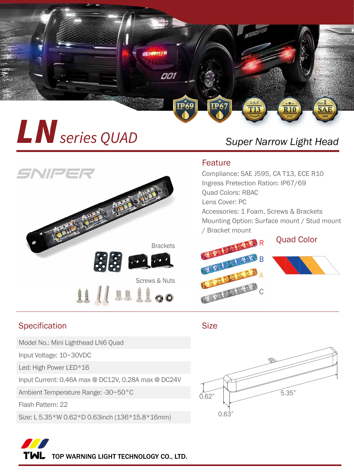

## **All Series QUAD** Super Narrow Light Head



## Specification Size

Model No.: Mini Lighthead LN6 Quad

Input Voltage: 10~30VDC

Led: High Power LED\*16

Input Current: 0.46A max @ DC12V, 0.28A max @ DC24V

Ambient Temperature Range: -30~50°C

Flash Pattern: 22

Size: L 5.35\*W 0.62\*D 0.63inch (136\*15.8\*16mm)

## Feature

Compliance: SAE J595, CA T13, ECE R10 Ingress Pretection Ration: IP67/69 Quad Colors: RBAC Lens Cover: PC Accessories: 1 Foam, Screws & Brackets Mounting Option: Surface mount / Stud mount / Bracket mount